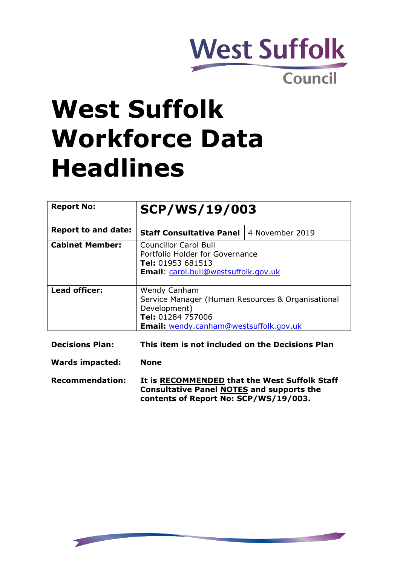

# **West Suffolk Workforce Data Headlines**

| <b>Report No:</b>          | <b>SCP/WS/19/003</b>                                                                                                                                    |                 |  |  |  |  |
|----------------------------|---------------------------------------------------------------------------------------------------------------------------------------------------------|-----------------|--|--|--|--|
| <b>Report to and date:</b> | <b>Staff Consultative Panel</b>                                                                                                                         | 4 November 2019 |  |  |  |  |
| <b>Cabinet Member:</b>     | <b>Councillor Carol Bull</b><br>Portfolio Holder for Governance<br>Tel: 01953 681513<br><b>Email:</b> carol.bull@westsuffolk.gov.uk                     |                 |  |  |  |  |
| <b>Lead officer:</b>       | <b>Wendy Canham</b><br>Service Manager (Human Resources & Organisational<br>Development)<br>Tel: 01284 757006<br>Email: wendy.canham@westsuffolk.gov.uk |                 |  |  |  |  |

| <b>Decisions Plan:</b> |  |  |  |  | This item is not included on the Decisions Plan |  |
|------------------------|--|--|--|--|-------------------------------------------------|--|
|------------------------|--|--|--|--|-------------------------------------------------|--|

**Wards impacted: None**

**Recommendation: It is RECOMMENDED that the West Suffolk Staff Consultative Panel NOTES and supports the contents of Report No: SCP/WS/19/003.**